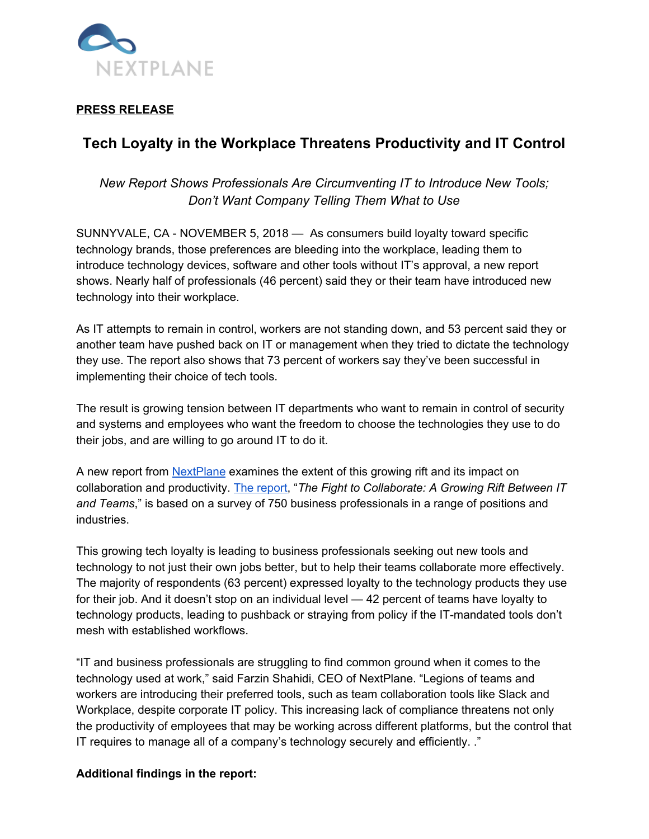

### **PRESS RELEASE**

# **Tech Loyalty in the Workplace Threatens Productivity and IT Control**

# *New Report Shows Professionals Are Circumventing IT to Introduce New Tools; Don't Want Company Telling Them What to Use*

SUNNYVALE, CA - NOVEMBER 5, 2018 — As consumers build loyalty toward specific technology brands, those preferences are bleeding into the workplace, leading them to introduce technology devices, software and other tools without IT's approval, a new report shows. Nearly half of professionals (46 percent) said they or their team have introduced new technology into their workplace.

As IT attempts to remain in control, workers are not standing down, and 53 percent said they or another team have pushed back on IT or management when they tried to dictate the technology they use. The report also shows that 73 percent of workers say they've been successful in implementing their choice of tech tools.

The result is growing tension between IT departments who want to remain in control of security and systems and employees who want the freedom to choose the technologies they use to do their jobs, and are willing to go around IT to do it.

A new report from [NextPlane](https://nextplane.net/) examines the extent of this growing rift and its impact on collaboration and productivity. The [report,](https://info.nextplane.net/cloud-lp-0) "*The Fight to Collaborate: A Growing Rift Between IT and Teams*," is based on a survey of 750 business professionals in a range of positions and industries.

This growing tech loyalty is leading to business professionals seeking out new tools and technology to not just their own jobs better, but to help their teams collaborate more effectively. The majority of respondents (63 percent) expressed loyalty to the technology products they use for their job. And it doesn't stop on an individual level — 42 percent of teams have loyalty to technology products, leading to pushback or straying from policy if the IT-mandated tools don't mesh with established workflows.

"IT and business professionals are struggling to find common ground when it comes to the technology used at work," said Farzin Shahidi, CEO of NextPlane. "Legions of teams and workers are introducing their preferred tools, such as team collaboration tools like Slack and Workplace, despite corporate IT policy. This increasing lack of compliance threatens not only the productivity of employees that may be working across different platforms, but the control that IT requires to manage all of a company's technology securely and efficiently. ."

#### **Additional findings in the report:**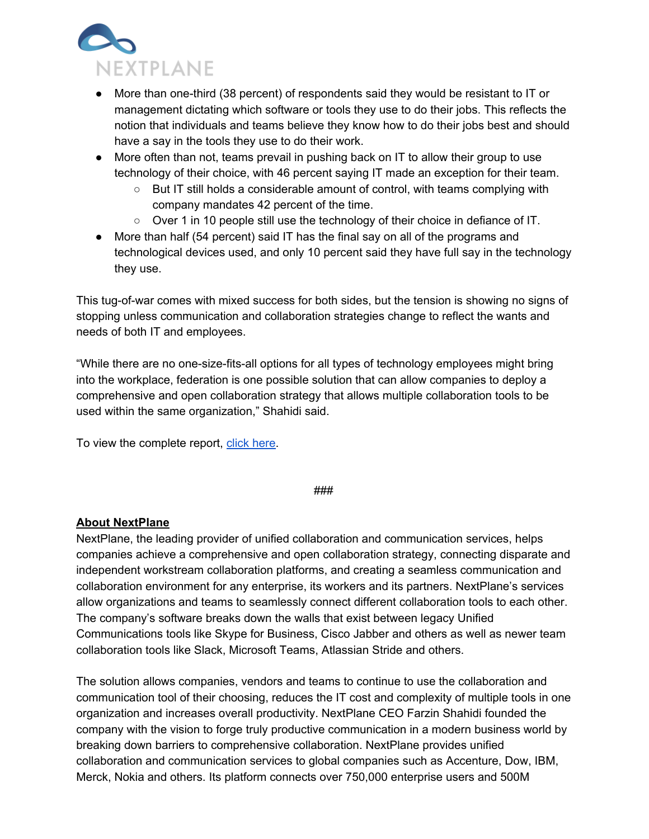

- More than one-third (38 percent) of respondents said they would be resistant to IT or management dictating which software or tools they use to do their jobs. This reflects the notion that individuals and teams believe they know how to do their jobs best and should have a say in the tools they use to do their work.
- More often than not, teams prevail in pushing back on IT to allow their group to use technology of their choice, with 46 percent saying IT made an exception for their team.
	- $\circ$  But IT still holds a considerable amount of control, with teams complying with company mandates 42 percent of the time.
	- Over 1 in 10 people still use the technology of their choice in defiance of IT.
- More than half (54 percent) said IT has the final say on all of the programs and technological devices used, and only 10 percent said they have full say in the technology they use.

This tug-of-war comes with mixed success for both sides, but the tension is showing no signs of stopping unless communication and collaboration strategies change to reflect the wants and needs of both IT and employees.

"While there are no one-size-fits-all options for all types of technology employees might bring into the workplace, federation is one possible solution that can allow companies to deploy a comprehensive and open collaboration strategy that allows multiple collaboration tools to be used within the same organization," Shahidi said.

To view the complete report, click [here](https://info.nextplane.net/cloud-lp-0).

###

## **About NextPlane**

NextPlane, the leading provider of unified collaboration and communication services, helps companies achieve a comprehensive and open collaboration strategy, connecting disparate and independent workstream collaboration platforms, and creating a seamless communication and collaboration environment for any enterprise, its workers and its partners. NextPlane's services allow organizations and teams to seamlessly connect different collaboration tools to each other. The company's software breaks down the walls that exist between legacy Unified Communications tools like Skype for Business, Cisco Jabber and others as well as newer team collaboration tools like Slack, Microsoft Teams, Atlassian Stride and others.

The solution allows companies, vendors and teams to continue to use the collaboration and communication tool of their choosing, reduces the IT cost and complexity of multiple tools in one organization and increases overall productivity. NextPlane CEO Farzin Shahidi founded the company with the vision to forge truly productive communication in a modern business world by breaking down barriers to comprehensive collaboration. NextPlane provides unified collaboration and communication services to global companies such as Accenture, Dow, IBM, Merck, Nokia and others. Its platform connects over 750,000 enterprise users and 500M